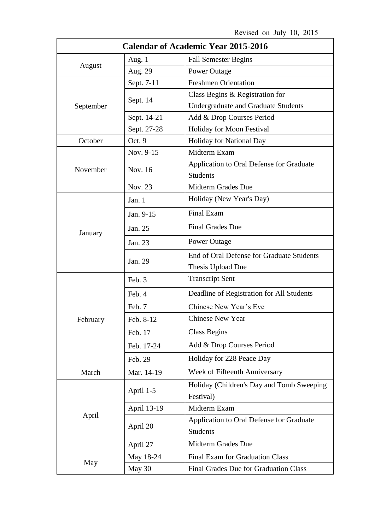| <b>Calendar of Academic Year 2015-2016</b> |             |                                                             |
|--------------------------------------------|-------------|-------------------------------------------------------------|
| August                                     | Aug. 1      | <b>Fall Semester Begins</b>                                 |
|                                            | Aug. 29     | <b>Power Outage</b>                                         |
| September                                  | Sept. 7-11  | <b>Freshmen Orientation</b>                                 |
|                                            | Sept. 14    | Class Begins & Registration for                             |
|                                            |             | <b>Undergraduate and Graduate Students</b>                  |
|                                            | Sept. 14-21 | Add & Drop Courses Period                                   |
|                                            | Sept. 27-28 | Holiday for Moon Festival                                   |
| October                                    | Oct. 9      | Holiday for National Day                                    |
|                                            | Nov. 9-15   | Midterm Exam                                                |
| November                                   | Nov. 16     | Application to Oral Defense for Graduate<br><b>Students</b> |
|                                            | Nov. 23     | Midterm Grades Due                                          |
| January                                    | Jan. 1      | Holiday (New Year's Day)                                    |
|                                            | Jan. 9-15   | Final Exam                                                  |
|                                            | Jan. 25     | <b>Final Grades Due</b>                                     |
|                                            | Jan. 23     | <b>Power Outage</b>                                         |
|                                            | Jan. 29     | End of Oral Defense for Graduate Students                   |
|                                            |             | Thesis Upload Due                                           |
| February                                   | Feb. 3      | <b>Transcript Sent</b>                                      |
|                                            | Feb. 4      | Deadline of Registration for All Students                   |
|                                            | Feb. 7      | Chinese New Year's Eve                                      |
|                                            | Feb. 8-12   | <b>Chinese New Year</b>                                     |
|                                            | Feb. 17     | <b>Class Begins</b>                                         |
|                                            | Feb. 17-24  | Add & Drop Courses Period                                   |
|                                            | Feb. 29     | Holiday for 228 Peace Day                                   |
| March                                      | Mar. 14-19  | Week of Fifteenth Anniversary                               |
| April                                      | April 1-5   | Holiday (Children's Day and Tomb Sweeping<br>Festival)      |
|                                            | April 13-19 | Midterm Exam                                                |
|                                            | April 20    | Application to Oral Defense for Graduate<br><b>Students</b> |
|                                            | April 27    | Midterm Grades Due                                          |
| May                                        | May 18-24   | Final Exam for Graduation Class                             |
|                                            | May 30      | Final Grades Due for Graduation Class                       |